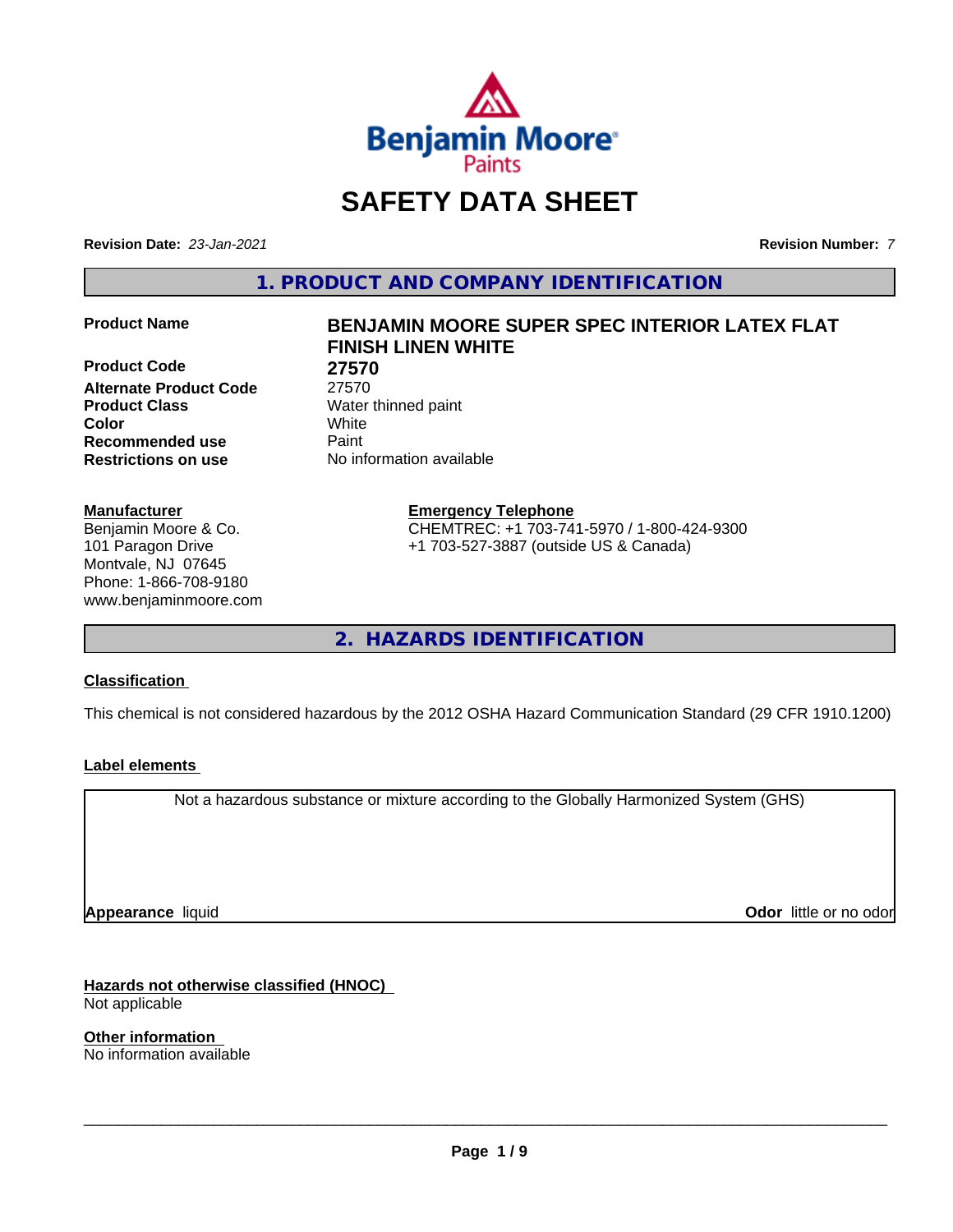

# **SAFETY DATA SHEET**

**Revision Date:** *23-Jan-2021* **Revision Number:** *7*

**1. PRODUCT AND COMPANY IDENTIFICATION**

**Product Code 27570 Alternate Product Code** 27570 **Product Class** Water thinned paint **Color** White **Recommended use Caint Restrictions on use** No information available

#### **Manufacturer**

Benjamin Moore & Co. 101 Paragon Drive Montvale, NJ 07645 Phone: 1-866-708-9180 www.benjaminmoore.com

# **Product Name BENJAMIN MOORE SUPER SPEC INTERIOR LATEX FLAT FINISH LINEN WHITE**

**Emergency Telephone**

CHEMTREC: +1 703-741-5970 / 1-800-424-9300 +1 703-527-3887 (outside US & Canada)

**2. HAZARDS IDENTIFICATION**

### **Classification**

This chemical is not considered hazardous by the 2012 OSHA Hazard Communication Standard (29 CFR 1910.1200)

### **Label elements**

Not a hazardous substance or mixture according to the Globally Harmonized System (GHS)

**Appearance** liquid

**Odor** little or no odor

**Hazards not otherwise classified (HNOC)** Not applicable

**Other information** No information available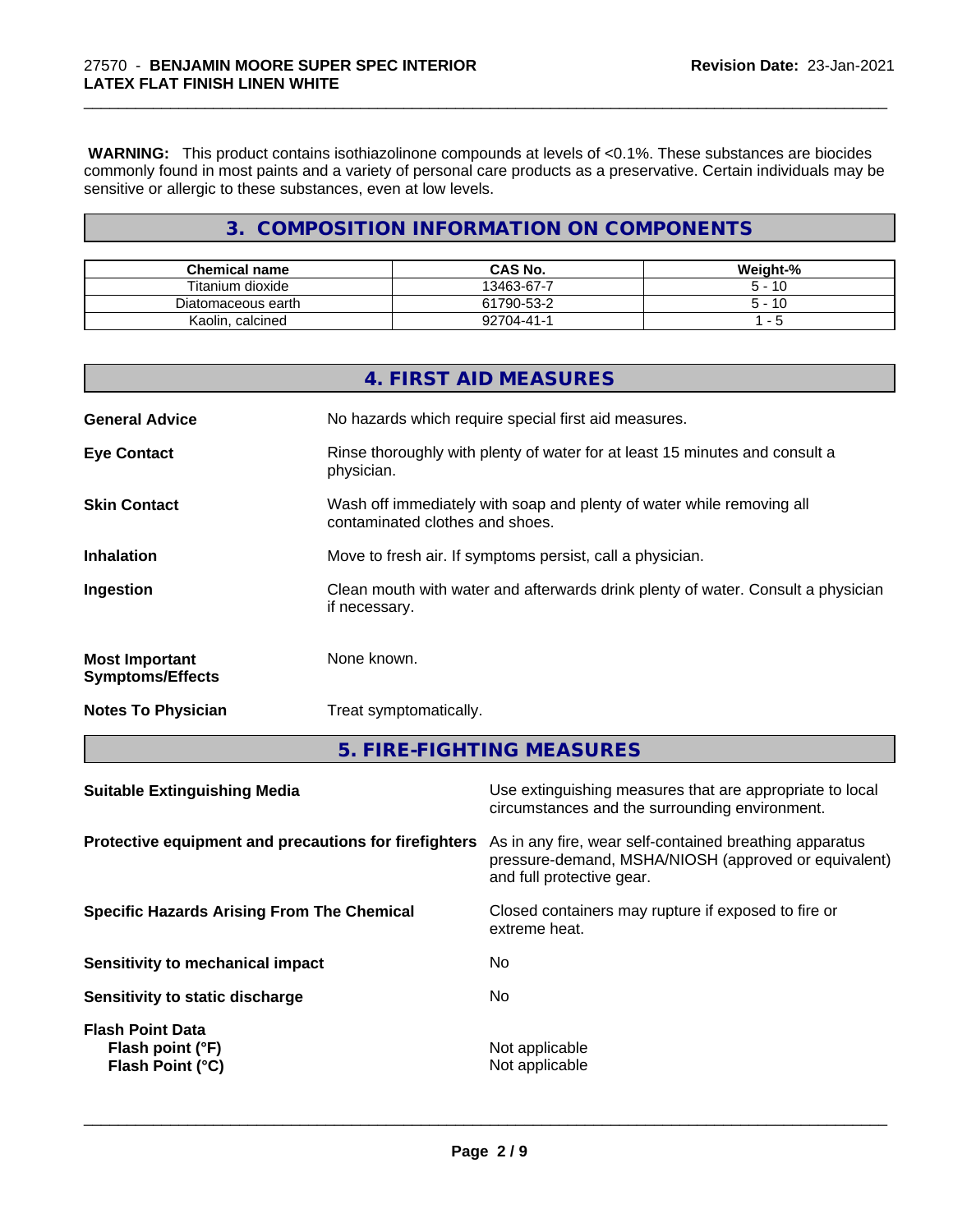**WARNING:** This product contains isothiazolinone compounds at levels of <0.1%. These substances are biocides commonly found in most paints and a variety of personal care products as a preservative. Certain individuals may be sensitive or allergic to these substances, even at low levels.

\_\_\_\_\_\_\_\_\_\_\_\_\_\_\_\_\_\_\_\_\_\_\_\_\_\_\_\_\_\_\_\_\_\_\_\_\_\_\_\_\_\_\_\_\_\_\_\_\_\_\_\_\_\_\_\_\_\_\_\_\_\_\_\_\_\_\_\_\_\_\_\_\_\_\_\_\_\_\_\_\_\_\_\_\_\_\_\_\_\_\_\_\_

# **3. COMPOSITION INFORMATION ON COMPONENTS**

| <b>Chemical name</b>   | <b>CAS No.</b>  | Weight-% |
|------------------------|-----------------|----------|
| Titanium dioxide       | 13463-67-7      | -10      |
| Diatomaceous earth     | 61790-53-2      | -10      |
| Kaolin.<br>ı, calcined | $2704 - 41 - 1$ |          |

|                                                  | 4. FIRST AID MEASURES                                                                                    |
|--------------------------------------------------|----------------------------------------------------------------------------------------------------------|
| <b>General Advice</b>                            | No hazards which require special first aid measures.                                                     |
| <b>Eye Contact</b>                               | Rinse thoroughly with plenty of water for at least 15 minutes and consult a<br>physician.                |
| <b>Skin Contact</b>                              | Wash off immediately with soap and plenty of water while removing all<br>contaminated clothes and shoes. |
| <b>Inhalation</b>                                | Move to fresh air. If symptoms persist, call a physician.                                                |
| Ingestion                                        | Clean mouth with water and afterwards drink plenty of water. Consult a physician<br>if necessary.        |
| <b>Most Important</b><br><b>Symptoms/Effects</b> | None known.                                                                                              |
| <b>Notes To Physician</b>                        | Treat symptomatically.                                                                                   |

**5. FIRE-FIGHTING MEASURES**

| <b>Suitable Extinguishing Media</b>                                    | Use extinguishing measures that are appropriate to local<br>circumstances and the surrounding environment.                                   |
|------------------------------------------------------------------------|----------------------------------------------------------------------------------------------------------------------------------------------|
| Protective equipment and precautions for firefighters                  | As in any fire, wear self-contained breathing apparatus<br>pressure-demand, MSHA/NIOSH (approved or equivalent)<br>and full protective gear. |
| <b>Specific Hazards Arising From The Chemical</b>                      | Closed containers may rupture if exposed to fire or<br>extreme heat.                                                                         |
| Sensitivity to mechanical impact                                       | No                                                                                                                                           |
| Sensitivity to static discharge                                        | No                                                                                                                                           |
| <b>Flash Point Data</b><br>Flash point (°F)<br><b>Flash Point (°C)</b> | Not applicable<br>Not applicable                                                                                                             |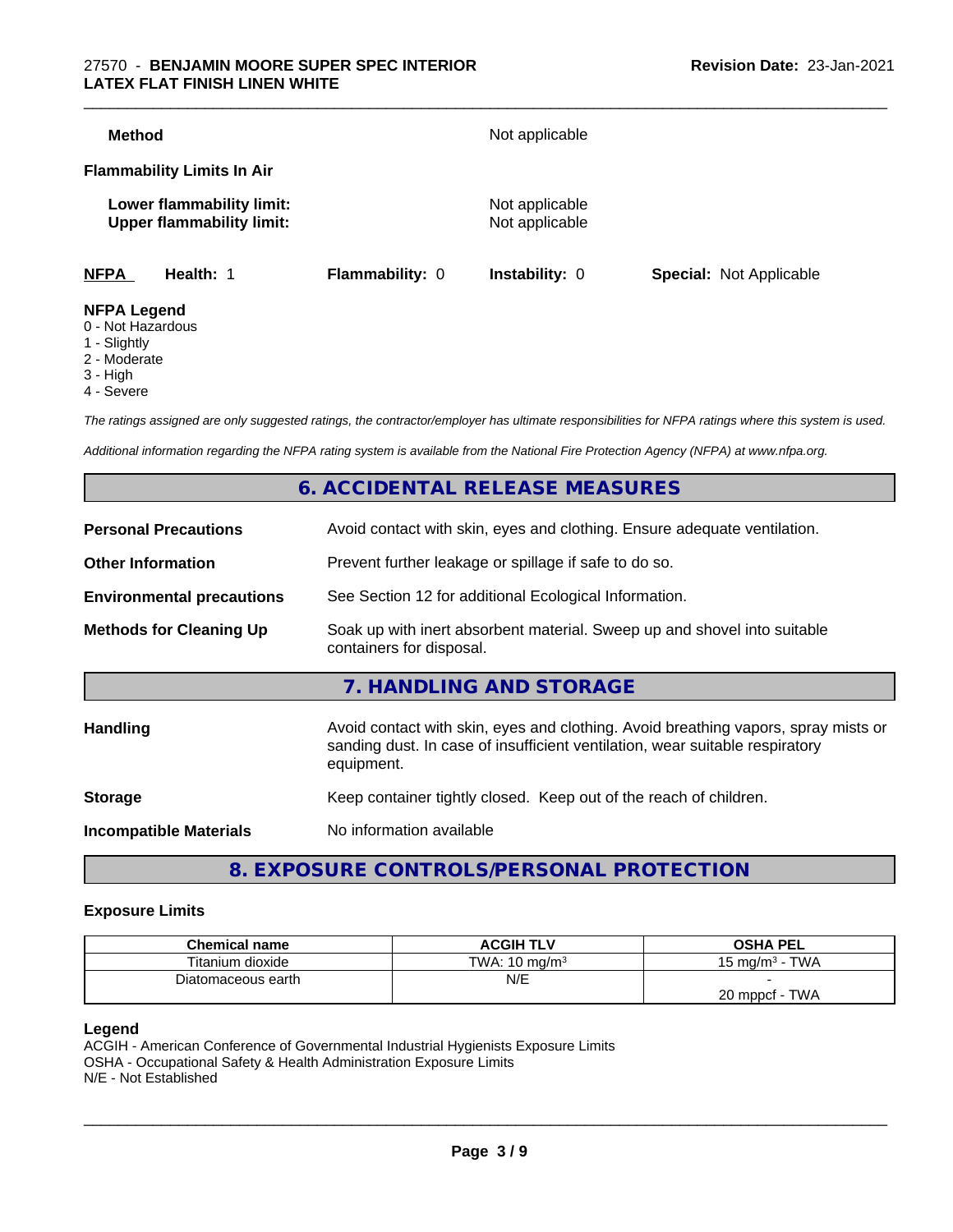### 27570 - **BENJAMIN MOORE SUPER SPEC INTERIOR LATEX FLAT FINISH LINEN WHITE**

| <b>NFPA</b><br>Health: 1                                      | <b>Flammability: 0</b> | <b>Instability: 0</b>            | <b>Special: Not Applicable</b> |
|---------------------------------------------------------------|------------------------|----------------------------------|--------------------------------|
| Lower flammability limit:<br><b>Upper flammability limit:</b> |                        | Not applicable<br>Not applicable |                                |
| <b>Flammability Limits In Air</b>                             |                        |                                  |                                |
| <b>Method</b>                                                 |                        | Not applicable                   |                                |

- 0 Not Hazardous
- 1 Slightly
- 2 Moderate
- 3 High
- 4 Severe

*The ratings assigned are only suggested ratings, the contractor/employer has ultimate responsibilities for NFPA ratings where this system is used.*

*Additional information regarding the NFPA rating system is available from the National Fire Protection Agency (NFPA) at www.nfpa.org.*

# **6. ACCIDENTAL RELEASE MEASURES**

| <b>Personal Precautions</b>      | Avoid contact with skin, eyes and clothing. Ensure adequate ventilation.                                                                                                         |
|----------------------------------|----------------------------------------------------------------------------------------------------------------------------------------------------------------------------------|
| <b>Other Information</b>         | Prevent further leakage or spillage if safe to do so.                                                                                                                            |
| <b>Environmental precautions</b> | See Section 12 for additional Ecological Information.                                                                                                                            |
| <b>Methods for Cleaning Up</b>   | Soak up with inert absorbent material. Sweep up and shovel into suitable<br>containers for disposal.                                                                             |
|                                  | 7. HANDLING AND STORAGE                                                                                                                                                          |
| Handling                         | Avoid contact with skin, eyes and clothing. Avoid breathing vapors, spray mists or<br>sanding dust. In case of insufficient ventilation, wear suitable respiratory<br>equipment. |
| <b>Storage</b>                   | Keep container tightly closed. Keep out of the reach of children.                                                                                                                |
| <b>Incompatible Materials</b>    | No information available                                                                                                                                                         |
|                                  |                                                                                                                                                                                  |

**8. EXPOSURE CONTROLS/PERSONAL PROTECTION**

#### **Exposure Limits**

| <b>Chemical name</b> | <b>ACGIH TLV</b>         | <b>OSHA PEL</b>              |
|----------------------|--------------------------|------------------------------|
| Titanium dioxide     | TWA: $10 \text{ mg/m}^3$ | <b>TWA</b><br>15 mg/m $^3$ - |
| Diatomaceous earth   | N/E                      |                              |
|                      |                          | TWA<br>$20$ mppcf -          |

#### **Legend**

ACGIH - American Conference of Governmental Industrial Hygienists Exposure Limits OSHA - Occupational Safety & Health Administration Exposure Limits N/E - Not Established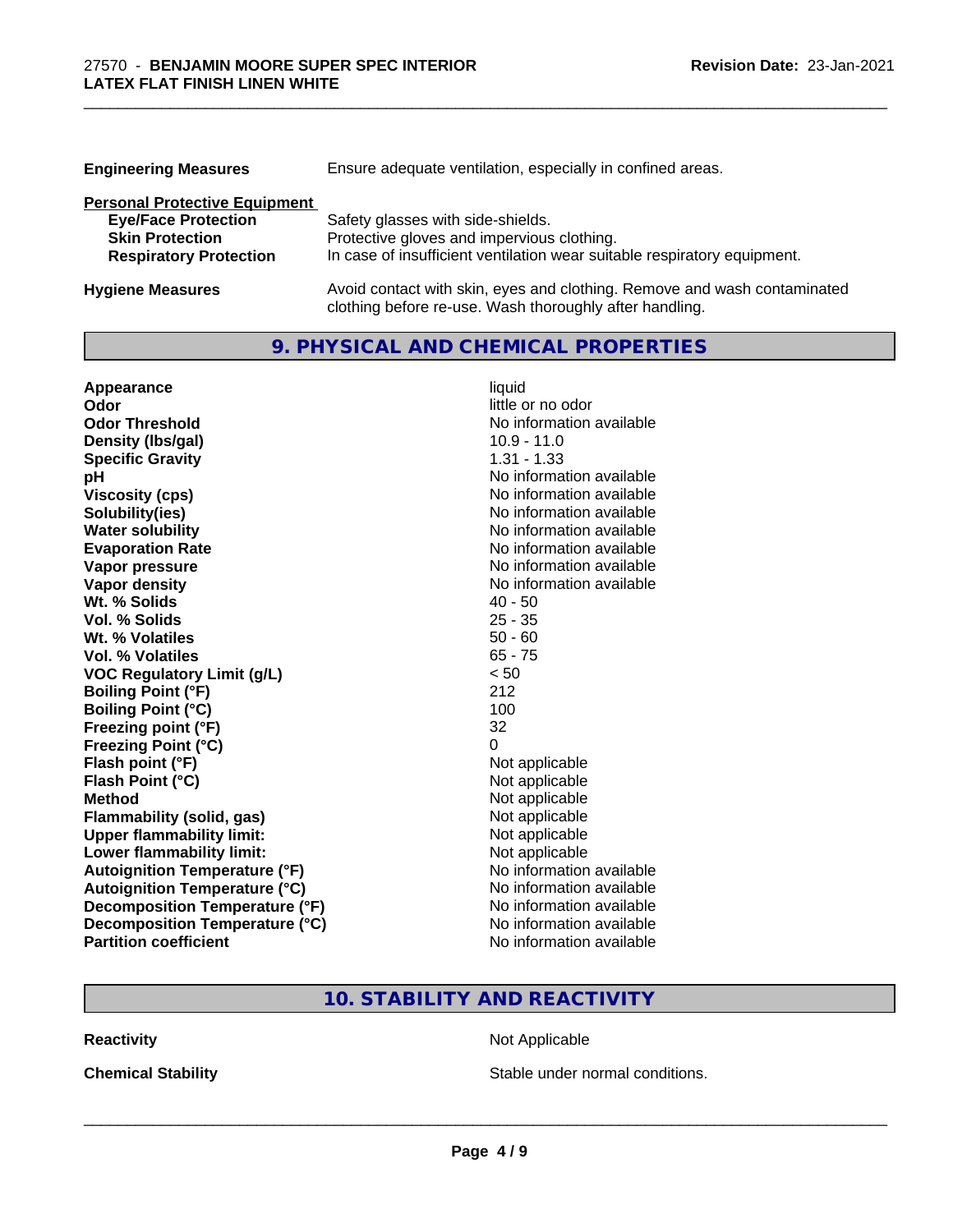| <b>Engineering Measures</b>          | Ensure adequate ventilation, especially in confined areas.               |
|--------------------------------------|--------------------------------------------------------------------------|
| <b>Personal Protective Equipment</b> |                                                                          |
| <b>Eye/Face Protection</b>           | Safety glasses with side-shields.                                        |
| <b>Skin Protection</b>               | Protective gloves and impervious clothing.                               |
| <b>Respiratory Protection</b>        | In case of insufficient ventilation wear suitable respiratory equipment. |
| <b>Hygiene Measures</b>              | Avoid contact with skin, eyes and clothing. Remove and wash contaminated |

clothing before re-use. Wash thoroughly after handling.

\_\_\_\_\_\_\_\_\_\_\_\_\_\_\_\_\_\_\_\_\_\_\_\_\_\_\_\_\_\_\_\_\_\_\_\_\_\_\_\_\_\_\_\_\_\_\_\_\_\_\_\_\_\_\_\_\_\_\_\_\_\_\_\_\_\_\_\_\_\_\_\_\_\_\_\_\_\_\_\_\_\_\_\_\_\_\_\_\_\_\_\_\_

# **9. PHYSICAL AND CHEMICAL PROPERTIES**

| Appearance                           | liquid                   |
|--------------------------------------|--------------------------|
| Odor                                 | little or no odor        |
| <b>Odor Threshold</b>                | No information available |
| Density (Ibs/gal)                    | $10.9 - 11.0$            |
| <b>Specific Gravity</b>              | $1.31 - 1.33$            |
| рH                                   | No information available |
| <b>Viscosity (cps)</b>               | No information available |
| Solubility(ies)                      | No information available |
| <b>Water solubility</b>              | No information available |
| <b>Evaporation Rate</b>              | No information available |
| Vapor pressure                       | No information available |
| <b>Vapor density</b>                 | No information available |
| Wt. % Solids                         | $40 - 50$                |
| Vol. % Solids                        | $25 - 35$                |
| Wt. % Volatiles                      | $50 - 60$                |
| Vol. % Volatiles                     | $65 - 75$                |
| <b>VOC Regulatory Limit (g/L)</b>    | < 50                     |
| <b>Boiling Point (°F)</b>            | 212                      |
| <b>Boiling Point (°C)</b>            | 100                      |
| Freezing point (°F)                  | 32                       |
| <b>Freezing Point (°C)</b>           | 0                        |
| Flash point (°F)                     | Not applicable           |
| Flash Point (°C)                     | Not applicable           |
| <b>Method</b>                        | Not applicable           |
| Flammability (solid, gas)            | Not applicable           |
| <b>Upper flammability limit:</b>     | Not applicable           |
| Lower flammability limit:            | Not applicable           |
| <b>Autoignition Temperature (°F)</b> | No information available |
| <b>Autoignition Temperature (°C)</b> | No information available |
| Decomposition Temperature (°F)       | No information available |
| Decomposition Temperature (°C)       | No information available |
| <b>Partition coefficient</b>         | No information available |

# **10. STABILITY AND REACTIVITY**

**Reactivity Not Applicable** Not Applicable

**Chemical Stability Chemical Stability** Stable under normal conditions.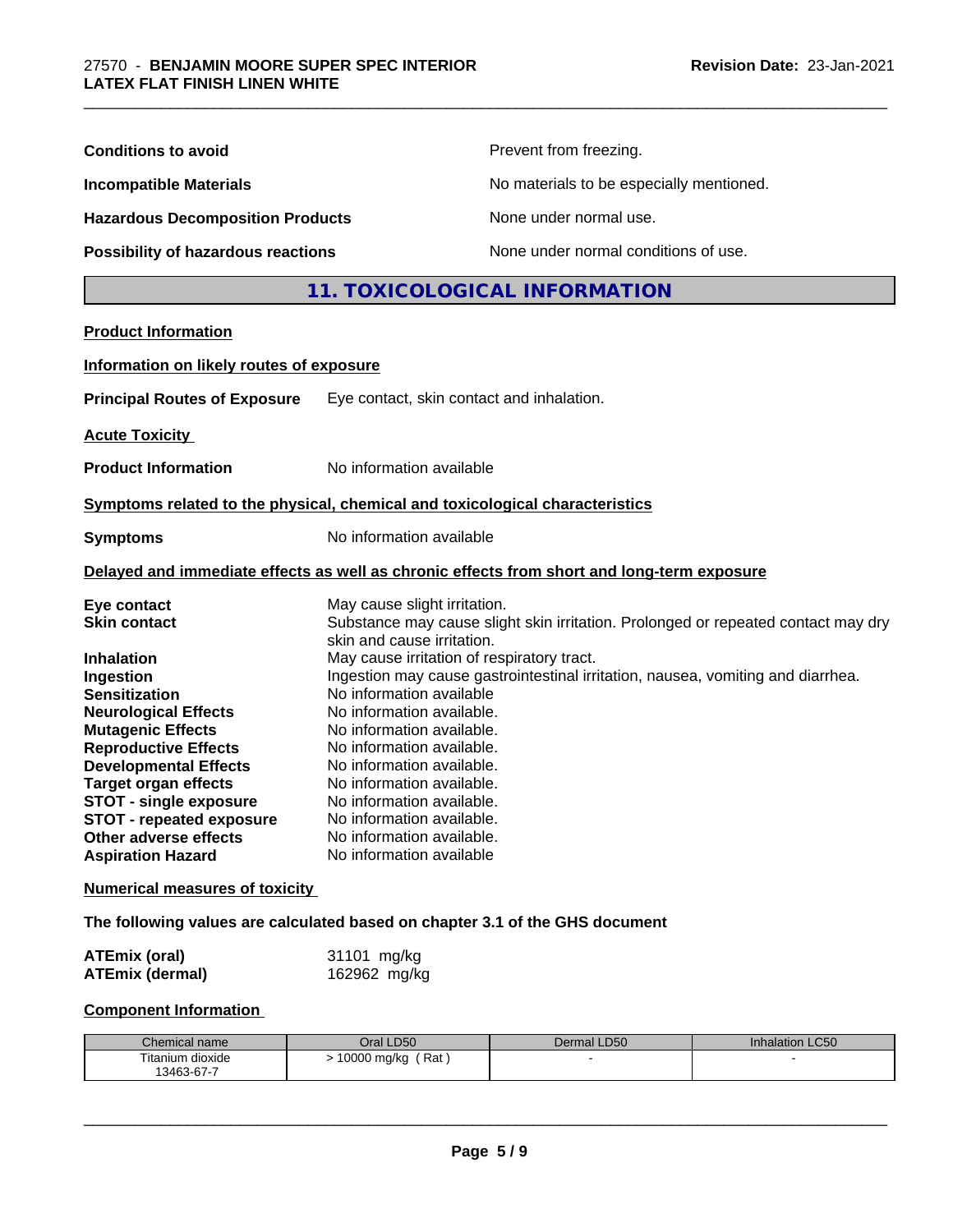| <b>Conditions to avoid</b>                                                                                                                                                                                                                                                                                                                                                                                              |                                                                                                                                                                                                                                                                                                                                                                                                          | Prevent from freezing.                                                                                                                                               |                 |  |
|-------------------------------------------------------------------------------------------------------------------------------------------------------------------------------------------------------------------------------------------------------------------------------------------------------------------------------------------------------------------------------------------------------------------------|----------------------------------------------------------------------------------------------------------------------------------------------------------------------------------------------------------------------------------------------------------------------------------------------------------------------------------------------------------------------------------------------------------|----------------------------------------------------------------------------------------------------------------------------------------------------------------------|-----------------|--|
| <b>Incompatible Materials</b><br><b>Hazardous Decomposition Products</b><br>Possibility of hazardous reactions                                                                                                                                                                                                                                                                                                          |                                                                                                                                                                                                                                                                                                                                                                                                          | No materials to be especially mentioned.                                                                                                                             |                 |  |
|                                                                                                                                                                                                                                                                                                                                                                                                                         |                                                                                                                                                                                                                                                                                                                                                                                                          | None under normal use.                                                                                                                                               |                 |  |
|                                                                                                                                                                                                                                                                                                                                                                                                                         |                                                                                                                                                                                                                                                                                                                                                                                                          | None under normal conditions of use.                                                                                                                                 |                 |  |
|                                                                                                                                                                                                                                                                                                                                                                                                                         |                                                                                                                                                                                                                                                                                                                                                                                                          | 11. TOXICOLOGICAL INFORMATION                                                                                                                                        |                 |  |
| <b>Product Information</b>                                                                                                                                                                                                                                                                                                                                                                                              |                                                                                                                                                                                                                                                                                                                                                                                                          |                                                                                                                                                                      |                 |  |
| Information on likely routes of exposure                                                                                                                                                                                                                                                                                                                                                                                |                                                                                                                                                                                                                                                                                                                                                                                                          |                                                                                                                                                                      |                 |  |
| <b>Principal Routes of Exposure</b>                                                                                                                                                                                                                                                                                                                                                                                     | Eye contact, skin contact and inhalation.                                                                                                                                                                                                                                                                                                                                                                |                                                                                                                                                                      |                 |  |
| <b>Acute Toxicity</b>                                                                                                                                                                                                                                                                                                                                                                                                   |                                                                                                                                                                                                                                                                                                                                                                                                          |                                                                                                                                                                      |                 |  |
| <b>Product Information</b>                                                                                                                                                                                                                                                                                                                                                                                              | No information available                                                                                                                                                                                                                                                                                                                                                                                 |                                                                                                                                                                      |                 |  |
| Symptoms related to the physical, chemical and toxicological characteristics                                                                                                                                                                                                                                                                                                                                            |                                                                                                                                                                                                                                                                                                                                                                                                          |                                                                                                                                                                      |                 |  |
| <b>Symptoms</b>                                                                                                                                                                                                                                                                                                                                                                                                         |                                                                                                                                                                                                                                                                                                                                                                                                          | No information available                                                                                                                                             |                 |  |
| Delayed and immediate effects as well as chronic effects from short and long-term exposure                                                                                                                                                                                                                                                                                                                              |                                                                                                                                                                                                                                                                                                                                                                                                          |                                                                                                                                                                      |                 |  |
| Eye contact<br><b>Skin contact</b><br><b>Inhalation</b><br>Ingestion<br><b>Sensitization</b><br><b>Neurological Effects</b><br><b>Mutagenic Effects</b><br><b>Reproductive Effects</b><br><b>Developmental Effects</b><br><b>Target organ effects</b><br><b>STOT - single exposure</b><br><b>STOT - repeated exposure</b><br>Other adverse effects<br><b>Aspiration Hazard</b><br><b>Numerical measures of toxicity</b> | May cause slight irritation.<br>skin and cause irritation.<br>May cause irritation of respiratory tract.<br>No information available<br>No information available.<br>No information available.<br>No information available.<br>No information available.<br>No information available.<br>No information available.<br>No information available.<br>No information available.<br>No information available | Substance may cause slight skin irritation. Prolonged or repeated contact may dry<br>Ingestion may cause gastrointestinal irritation, nausea, vomiting and diarrhea. |                 |  |
| The following values are calculated based on chapter 3.1 of the GHS document                                                                                                                                                                                                                                                                                                                                            |                                                                                                                                                                                                                                                                                                                                                                                                          |                                                                                                                                                                      |                 |  |
| <b>ATEmix (oral)</b><br><b>ATEmix (dermal)</b>                                                                                                                                                                                                                                                                                                                                                                          | 31101 mg/kg<br>162962 mg/kg                                                                                                                                                                                                                                                                                                                                                                              |                                                                                                                                                                      |                 |  |
| <b>Component Information</b>                                                                                                                                                                                                                                                                                                                                                                                            |                                                                                                                                                                                                                                                                                                                                                                                                          |                                                                                                                                                                      |                 |  |
| Chemical name                                                                                                                                                                                                                                                                                                                                                                                                           | Oral LD50                                                                                                                                                                                                                                                                                                                                                                                                | Dermal LD50                                                                                                                                                          | Inhalation LC50 |  |
| Titanium dioxide                                                                                                                                                                                                                                                                                                                                                                                                        | > 10000 mg/kg (Rat)                                                                                                                                                                                                                                                                                                                                                                                      |                                                                                                                                                                      |                 |  |
| 13463-67-7                                                                                                                                                                                                                                                                                                                                                                                                              |                                                                                                                                                                                                                                                                                                                                                                                                          |                                                                                                                                                                      |                 |  |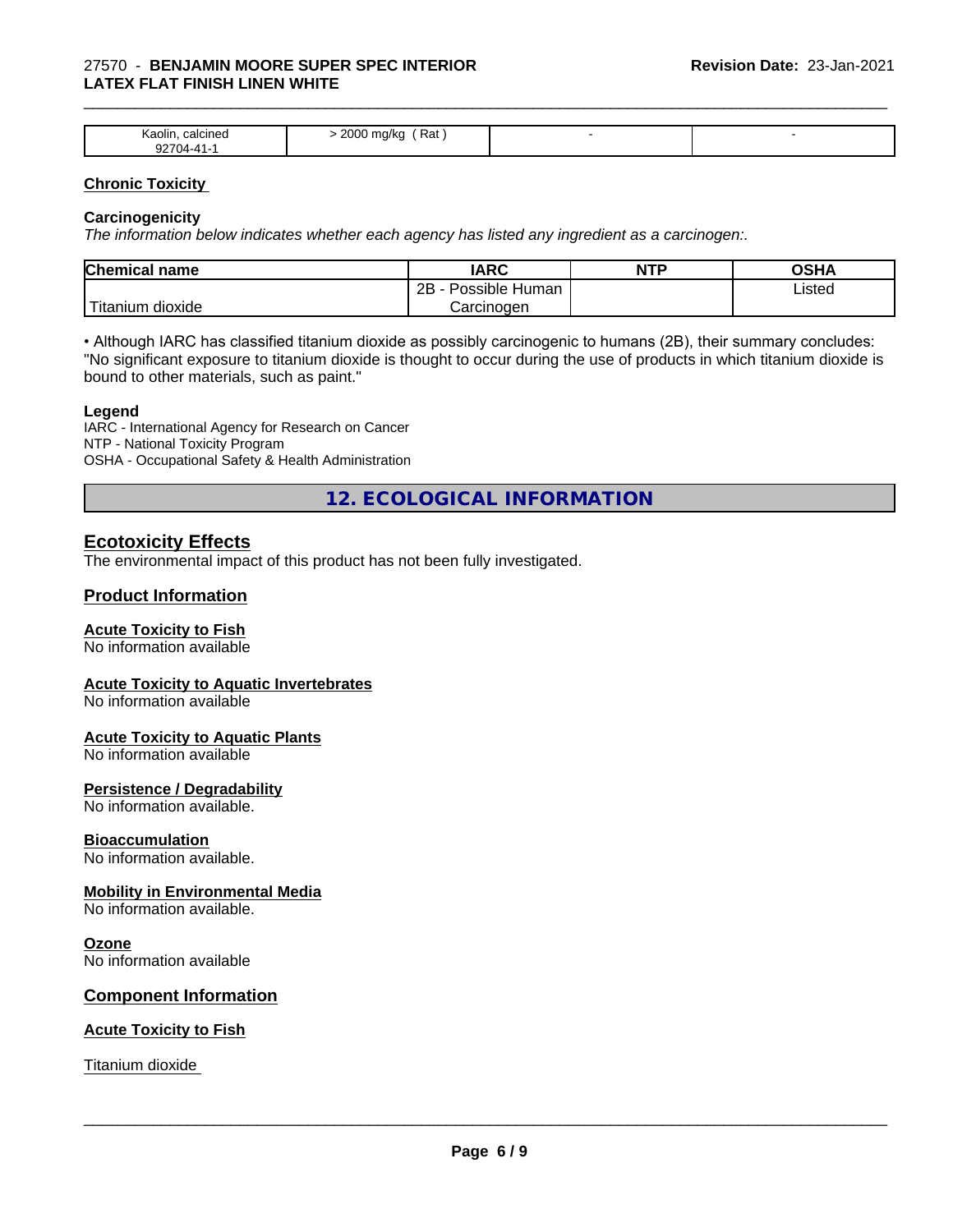#### 27570 - **BENJAMIN MOORE SUPER SPEC INTERIOR LATEX FLAT FINISH LINEN WHITE**

| <b>Aaolin</b><br>calcined<br>.<br><b>00-</b> | Rat<br>2000<br>zuu<br>11 N.C<br>ີ |  |
|----------------------------------------------|-----------------------------------|--|

\_\_\_\_\_\_\_\_\_\_\_\_\_\_\_\_\_\_\_\_\_\_\_\_\_\_\_\_\_\_\_\_\_\_\_\_\_\_\_\_\_\_\_\_\_\_\_\_\_\_\_\_\_\_\_\_\_\_\_\_\_\_\_\_\_\_\_\_\_\_\_\_\_\_\_\_\_\_\_\_\_\_\_\_\_\_\_\_\_\_\_\_\_

#### **Chronic Toxicity**

#### **Carcinogenicity**

*The information below indicateswhether each agency has listed any ingredient as a carcinogen:.*

| Chemical<br>name               | <b>IARC</b>                               | NTP | $\sim$ $\sim$<br>אחטט |
|--------------------------------|-------------------------------------------|-----|-----------------------|
|                                | .<br>クロ<br>Human<br>Possible<br><u>__</u> |     | Listed                |
| .<br>dioxide<br><b>itanium</b> | Carcinoɑen                                |     |                       |

• Although IARC has classified titanium dioxide as possibly carcinogenic to humans (2B), their summary concludes: "No significant exposure to titanium dioxide is thought to occur during the use of products in which titanium dioxide is bound to other materials, such as paint."

#### **Legend**

IARC - International Agency for Research on Cancer NTP - National Toxicity Program OSHA - Occupational Safety & Health Administration

**12. ECOLOGICAL INFORMATION**

## **Ecotoxicity Effects**

The environmental impact of this product has not been fully investigated.

### **Product Information**

#### **Acute Toxicity to Fish**

No information available

#### **Acute Toxicity to Aquatic Invertebrates**

No information available

#### **Acute Toxicity to Aquatic Plants**

No information available

#### **Persistence / Degradability**

No information available.

#### **Bioaccumulation**

No information available.

#### **Mobility in Environmental Media**

No information available.

#### **Ozone**

No information available

### **Component Information**

#### **Acute Toxicity to Fish**

Titanium dioxide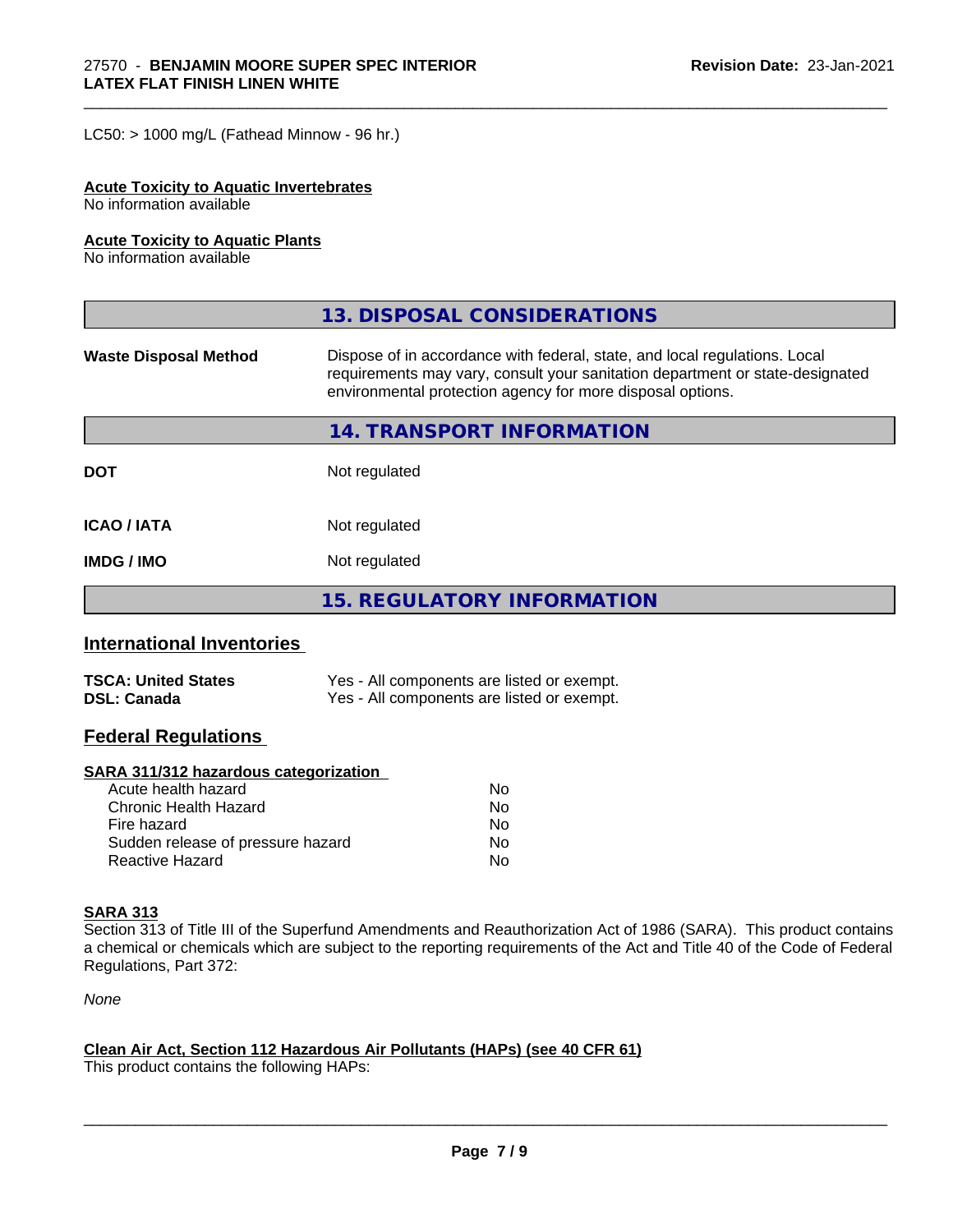$LC50:$  > 1000 mg/L (Fathead Minnow - 96 hr.)

#### **Acute Toxicity to Aquatic Invertebrates**

No information available

#### **Acute Toxicity to Aquatic Plants**

No information available

|                              | 13. DISPOSAL CONSIDERATIONS                                                                                                                                                                                               |
|------------------------------|---------------------------------------------------------------------------------------------------------------------------------------------------------------------------------------------------------------------------|
| <b>Waste Disposal Method</b> | Dispose of in accordance with federal, state, and local regulations. Local<br>requirements may vary, consult your sanitation department or state-designated<br>environmental protection agency for more disposal options. |
|                              | 14. TRANSPORT INFORMATION                                                                                                                                                                                                 |
| <b>DOT</b>                   | Not regulated                                                                                                                                                                                                             |
| <b>ICAO/IATA</b>             | Not regulated                                                                                                                                                                                                             |
| <b>IMDG / IMO</b>            | Not regulated                                                                                                                                                                                                             |
|                              | <b>15. REGULATORY INFORMATION</b>                                                                                                                                                                                         |

\_\_\_\_\_\_\_\_\_\_\_\_\_\_\_\_\_\_\_\_\_\_\_\_\_\_\_\_\_\_\_\_\_\_\_\_\_\_\_\_\_\_\_\_\_\_\_\_\_\_\_\_\_\_\_\_\_\_\_\_\_\_\_\_\_\_\_\_\_\_\_\_\_\_\_\_\_\_\_\_\_\_\_\_\_\_\_\_\_\_\_\_\_

# **International Inventories**

| <b>TSCA: United States</b> | Yes - All components are listed or exempt. |
|----------------------------|--------------------------------------------|
| <b>DSL: Canada</b>         | Yes - All components are listed or exempt. |

### **Federal Regulations**

#### **SARA 311/312 hazardous categorization**

| Acute health hazard               | No |
|-----------------------------------|----|
| Chronic Health Hazard             | No |
| Fire hazard                       | No |
| Sudden release of pressure hazard | Nο |
| Reactive Hazard                   | N٥ |

## **SARA 313**

Section 313 of Title III of the Superfund Amendments and Reauthorization Act of 1986 (SARA). This product contains a chemical or chemicals which are subject to the reporting requirements of the Act and Title 40 of the Code of Federal Regulations, Part 372:

*None*

#### **Clean Air Act,Section 112 Hazardous Air Pollutants (HAPs) (see 40 CFR 61)**

This product contains the following HAPs: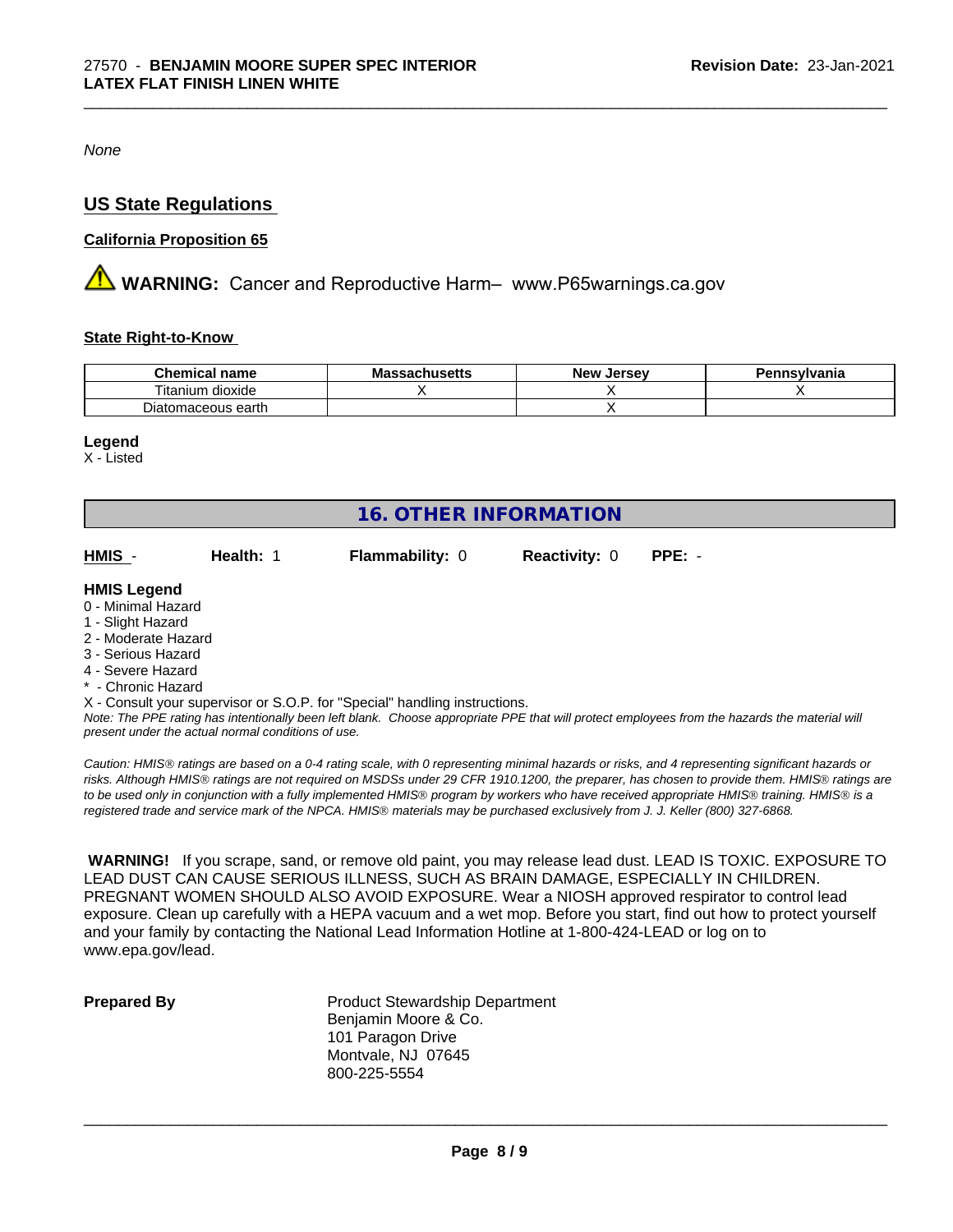*None*

# **US State Regulations**

### **California Proposition 65**

**AVIMARNING:** Cancer and Reproductive Harm– www.P65warnings.ca.gov

#### **State Right-to-Know**

| --<br>Chemical<br>name                              | $1000 + 10$<br>IVIA<br><i>J</i> aunuscus | . Jersev<br><b>New</b> | nnsylvania |
|-----------------------------------------------------|------------------------------------------|------------------------|------------|
| $- \cdot$ .<br>$\cdots$<br>dioxide<br>.um<br>ltanii |                                          |                        |            |
| Diatomaceous earth                                  |                                          |                        |            |

\_\_\_\_\_\_\_\_\_\_\_\_\_\_\_\_\_\_\_\_\_\_\_\_\_\_\_\_\_\_\_\_\_\_\_\_\_\_\_\_\_\_\_\_\_\_\_\_\_\_\_\_\_\_\_\_\_\_\_\_\_\_\_\_\_\_\_\_\_\_\_\_\_\_\_\_\_\_\_\_\_\_\_\_\_\_\_\_\_\_\_\_\_

#### **Legend**

X - Listed

| <b>16. OTHER INFORMATION</b> |           |                                                                            |                      |          |  |  |  |
|------------------------------|-----------|----------------------------------------------------------------------------|----------------------|----------|--|--|--|
| HMIS -                       | Health: 1 | <b>Flammability: 0</b>                                                     | <b>Reactivity: 0</b> | $PPE: -$ |  |  |  |
| <b>HMIS Legend</b>           |           |                                                                            |                      |          |  |  |  |
| 0 - Minimal Hazard           |           |                                                                            |                      |          |  |  |  |
| 1 - Slight Hazard            |           |                                                                            |                      |          |  |  |  |
| 2 - Moderate Hazard          |           |                                                                            |                      |          |  |  |  |
| 3 - Serious Hazard           |           |                                                                            |                      |          |  |  |  |
| 4 - Severe Hazard            |           |                                                                            |                      |          |  |  |  |
| * - Chronic Hazard           |           |                                                                            |                      |          |  |  |  |
|                              |           | X - Consult your supervisor or S.O.P. for "Special" handling instructions. |                      |          |  |  |  |
|                              |           |                                                                            |                      |          |  |  |  |

*Note: The PPE rating has intentionally been left blank. Choose appropriate PPE that will protect employees from the hazards the material will present under the actual normal conditions of use.*

*Caution: HMISÒ ratings are based on a 0-4 rating scale, with 0 representing minimal hazards or risks, and 4 representing significant hazards or risks. Although HMISÒ ratings are not required on MSDSs under 29 CFR 1910.1200, the preparer, has chosen to provide them. HMISÒ ratings are to be used only in conjunction with a fully implemented HMISÒ program by workers who have received appropriate HMISÒ training. HMISÒ is a registered trade and service mark of the NPCA. HMISÒ materials may be purchased exclusively from J. J. Keller (800) 327-6868.*

 **WARNING!** If you scrape, sand, or remove old paint, you may release lead dust. LEAD IS TOXIC. EXPOSURE TO LEAD DUST CAN CAUSE SERIOUS ILLNESS, SUCH AS BRAIN DAMAGE, ESPECIALLY IN CHILDREN. PREGNANT WOMEN SHOULD ALSO AVOID EXPOSURE.Wear a NIOSH approved respirator to control lead exposure. Clean up carefully with a HEPA vacuum and a wet mop. Before you start, find out how to protect yourself and your family by contacting the National Lead Information Hotline at 1-800-424-LEAD or log on to www.epa.gov/lead.

**Prepared By** Product Stewardship Department Benjamin Moore & Co. 101 Paragon Drive Montvale, NJ 07645 800-225-5554